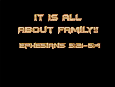

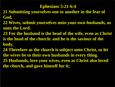#### **Ephesians 5:21-6:4**

- **21 Submitting yourselves one to another in the fear of God.**
- **22 Wives, submit yourselves unto your own husbands, as unto the Lord.**
- **23 For the husband is the head of the wife, even as Christ is the head of the church: and he is the saviour of the body.**
- **24 Therefore as the church is subject unto Christ, so let the wives be to their own husbands in every thing. 25 Husbands, love your wives, even as Christ also loved the church, and gave himself for it;**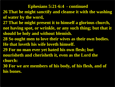# **Ephesians 5:21-6:4 - continued 26 That he might sanctify and cleanse it with the washing of water by the word, 27 That he might present it to himself a glorious church, not having spot, or wrinkle, or any such thing; but that it should be holy and without blemish. 28 So ought men to love their wives as their own bodies. He that loveth his wife loveth himself. 29 For no man ever yet hated his own flesh; but nourisheth and cherisheth it, even as the Lord the church: 30 For we are members of his body, of his flesh, and of his bones.**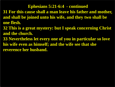#### **Ephesians 5:21-6:4 - continued**

- **31 For this cause shall a man leave his father and mother, and shall be joined unto his wife, and they two shall be one flesh.**
- **32 This is a great mystery: but I speak concerning Christ and the church.**
- **33 Nevertheless let every one of you in particular so love his wife even as himself; and the wife see that she reverence her husband.**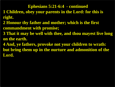#### **Ephesians 5:21-6:4 - continued**

- **1 Children, obey your parents in the Lord: for this is right.**
- **2 Honour thy father and mother; which is the first commandment with promise;**
- **3 That it may be well with thee, and thou mayest live long on the earth.**
- **4 And, ye fathers, provoke not your children to wrath: but bring them up in the nurture and admonition of the Lord.**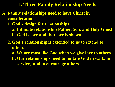**A. Family relationships need to have Christ in consideration**

- **1. God's design for relationships**
	- **a. Intimate relationship Father, Son, and Holy Ghost b. God is love and that love is shown**
- **2. God's relationship is extended to us to extend to others**
	- **a. We are most like God when we give love to others**
	- **b. Our relationships need to imitate God in walk, in service, and to encourage others**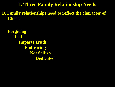**B. Family relationships need to reflect the character of Christ** 

 **Forgiving Real Imparts Truth Embracing Not Selfish Dedicated**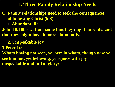**C. Family relationships need to seek the consequences of following Christ (6:3)**

 **1. Abundant life**

**John 10:10b - … I am come that they might have life, and that they might have it more abundantly.**

- **2. Unspeakable joy**
- **1 Peter 1:8**

**Whom having not seen, ye love; in whom, though now ye see him not, yet believing, ye rejoice with joy unspeakable and full of glory:**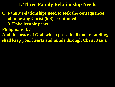**C. Family relationships need to seek the consequences of following Christ (6:3) - continued 3. Unbelievable peace Philippians 4:7 And the peace of God, which passeth all understanding, shall keep your hearts and minds through Christ Jesus.**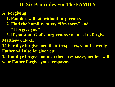**A. Forgiving 1. Families will fail without forgiveness 2. Find the humility to say "I'm sorry" and "I forgive you" 3. If you want God's forgiveness you need to forgive Matthew 6:14-15 14 For if ye forgive men their trespasses, your heavenly Father will also forgive you: 15 But if ye forgive not men their trespasses, neither will your Father forgive your trespasses.**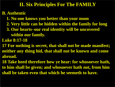# **B. Authentic**

- **1. No one knows you better than your mom**
- **2. Very little can be hidden within the family for long**
- **3. Our hearts–our real identity will be uncovered within our family.**
- **Luke 8:17-18**
- **17** For nothing is secret, that shall not be made manifest; **neither any thing hid, that shall not be known and come abroad.**
- **18 Take heed therefore how ye hear: for whosoever hath, to him shall be given; and whosoever hath not, from him shall be taken even that which he seemeth to have.**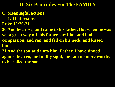- **C. Meaningful actions**
	- **1. That restores**
- **Luke 15:20-21**
- **20 And he arose, and came to his father. But when he was yet a great way off, his father saw him, and had compassion, and ran, and fell on his neck, and kissed him.**
- **21 And the son said unto him, Father, I have sinned against heaven, and in thy sight, and am no more worthy to be called thy son.**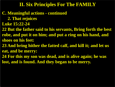#### **C. Meaningful actions - continued 2. That rejoices**

- **Luke 15:22-24**
- **22 But the father said to his servants, Bring forth the best robe, and put it on him; and put a ring on his hand, and shoes on his feet:**
- **23 And bring hither the fatted calf, and kill it; and let us eat, and be merry:**
- **24 For this my son was dead, and is alive again; he was lost, and is found. And they began to be merry.**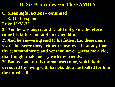# **C. Meaningful actions - continued 3. That responds Luke 15:28-30 28 And he was angry, and would not go in: therefore came his father out, and intreated him. 29 And he answering said to his father, Lo, these many years do I serve thee, neither transgressed I at any time thy commandment: and yet thou never gavest me a kid, that I might make merry with my friends: 30 But as soon as this thy son was come, which hath devoured thy living with harlots, thou hast killed for him the fatted calf.**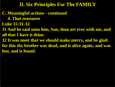**C. Meaningful actions - continued 4. That reassures Luke 15:31-32 31 And he said unto him, Son, thou art ever with me, and all that I have is thine. 32 It was meet that we should make merry, and be glad: for this thy brother was dead, and is alive again; and was lost, and is found.**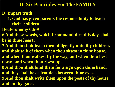#### **D. Impart truth**

- **1. God has given parents the responsibility to teach their children**
- **Deuteronomy 6:6-9**
- **6 And these words, which I command thee this day, shall be in thine heart:**
- **7 And thou shalt teach them diligently unto thy children, and shalt talk of them when thou sittest in thine house, and when thou walkest by the way, and when thou liest down, and when thou risest up.**
- **8 And thou shalt bind them for a sign upon thine hand, and they shall be as frontlets between thine eyes.**
- **9 And thou shalt write them upon the posts of thy house, and on thy gates.**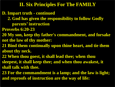**D. Impart truth - continued**

- **2. God has given the responsibility to follow Godly parents' instruction**
- **Proverbs 6:20-23**
- **20 My son, keep thy father's commandment, and forsake not the law of thy mother:**
- **21 Bind them continually upon thine heart, and tie them about thy neck.**
- **22 When thou goest, it shall lead thee; when thou**
- **sleepest, it shall keep thee; and when thou awakest, it shall talk with thee.**
- **23 For the commandment is a lamp; and the law is light; and reproofs of instruction are the way of life:**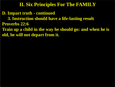**D. Impart truth - continued**

 **3. Instruction should have a life-lasting result**

**Proverbs 22:6**

**Train up a child in the way he should go: and when he is old, he will not depart from it.**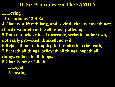- **E. Loving I Corinthians 13:4-8a 4 Charity suffereth long, and is kind; charity envieth not; charity vaunteth not itself, is not puffed up, 5 Doth not behave itself unseemly, seeketh not her own, is not easily provoked, thinketh no evil; 6 Rejoiceth not in iniquity, but rejoiceth in the truth; 7 Beareth all things, believeth all things, hopeth all things, endureth all things. 8 Charity never faileth:… 1. Loyal 2. Lasting**
	-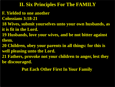- **F. Yielded to one another**
- **Colossians 3:18-21**
- **18 Wives, submit yourselves unto your own husbands, as it is fit in the Lord.**
- **19 Husbands, love your wives, and be not bitter against them.**
- **20 Children, obey your parents in all things: for this is well pleasing unto the Lord.**
- **21 Fathers, provoke not your children to anger, lest they be discouraged.**

**Put Each Other First In Your Family**